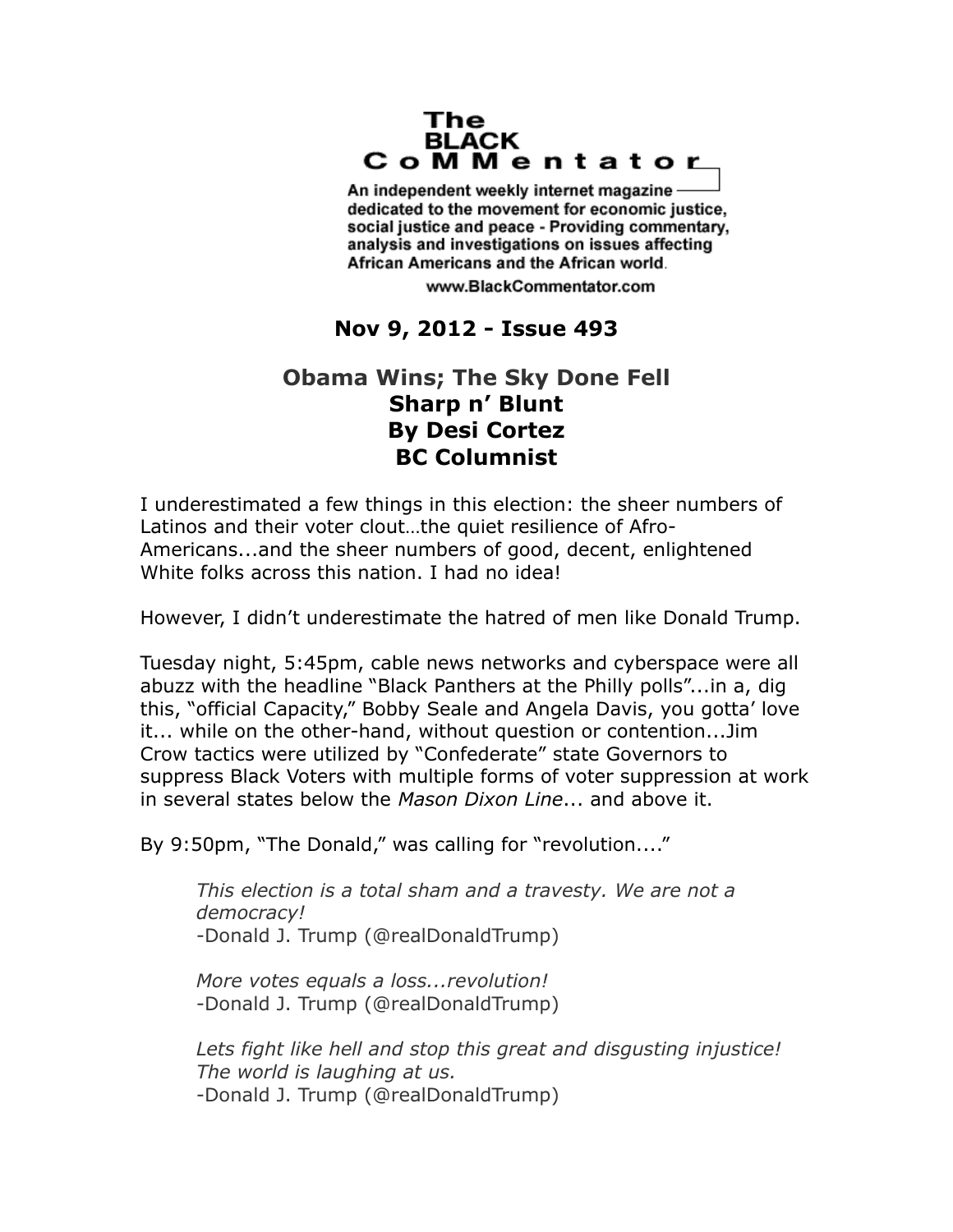## The **BLACK** CoMMentator

An independent weekly internet magazine dedicated to the movement for economic justice. social justice and peace - Providing commentary, analysis and investigations on issues affecting African Americans and the African world.

www.BlackCommentator.com

## **Nov 9, 2012 - Issue 493**

## **Obama Wins; The Sky Done Fell Sharp n' Blunt By Desi Cortez BC Columnist**

I underestimated a few things in this election: the sheer numbers of Latinos and their voter clout…the quiet resilience of Afro-Americans...and the sheer numbers of good, decent, enlightened White folks across this nation. I had no idea!

However, I didn't underestimate the hatred of men like Donald Trump.

Tuesday night, 5:45pm, cable news networks and cyberspace were all abuzz with the headline "Black Panthers at the Philly polls"...in a, dig this, "official Capacity," Bobby Seale and Angela Davis, you gotta' love it... while on the other-hand, without question or contention...Jim Crow tactics were utilized by "Confederate" state Governors to suppress Black Voters with multiple forms of voter suppression at work in several states below the *Mason Dixon Line*... and above it.

By 9:50pm, "The Donald," was calling for "revolution...."

*This election is a total sham and a travesty. We are not a democracy!* -Donald J. Trump (@realDonaldTrump)

*More votes equals a loss...revolution!* -Donald J. Trump (@realDonaldTrump)

*Lets fight like hell and stop this great and disgusting injustice! The world is laughing at us.* -Donald J. Trump (@realDonaldTrump)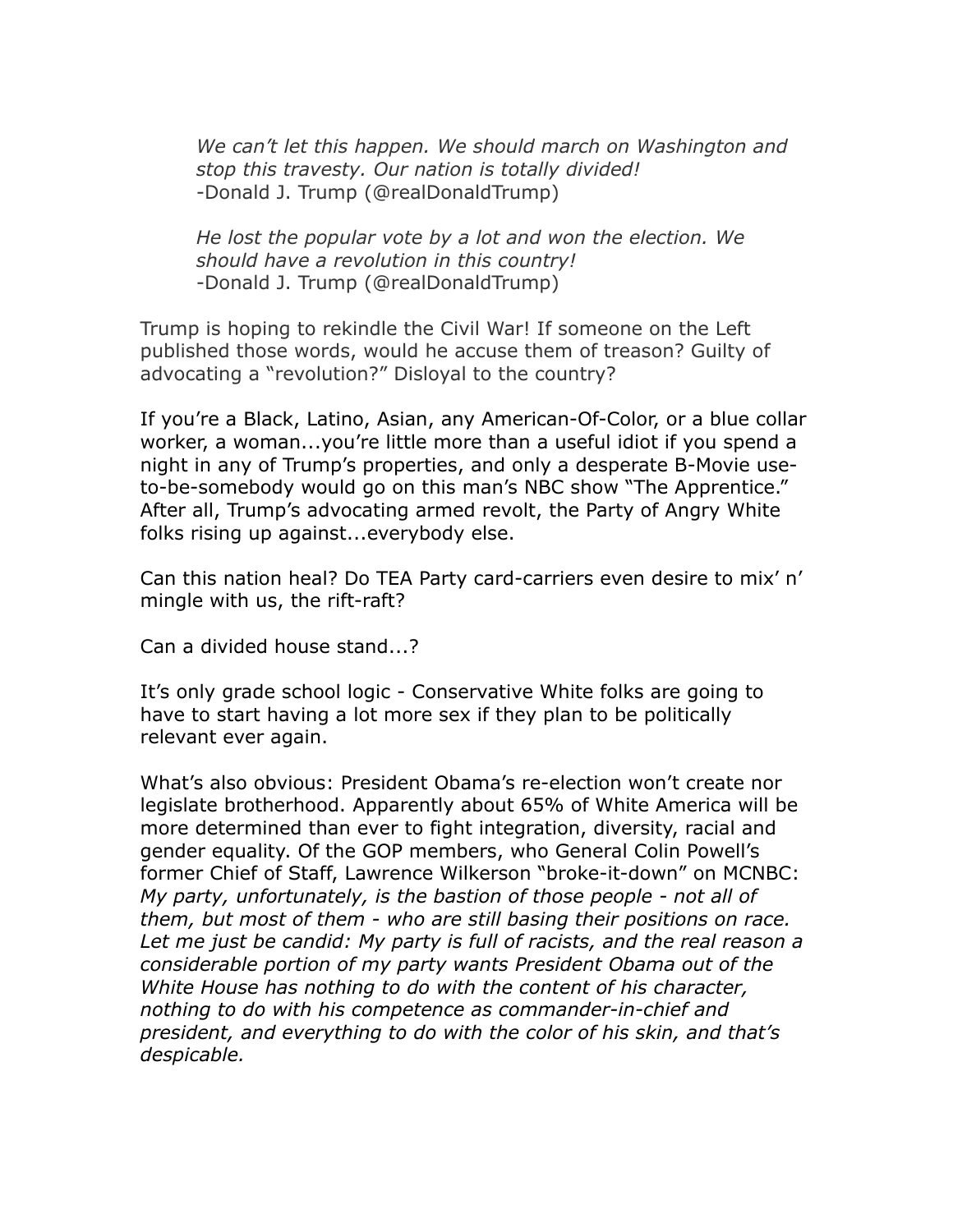*We can't let this happen. We should march on Washington and stop this travesty. Our nation is totally divided!* -Donald J. Trump (@realDonaldTrump)

*He lost the popular vote by a lot and won the election. We should have a revolution in this country!* -Donald J. Trump (@realDonaldTrump)

Trump is hoping to rekindle the Civil War! If someone on the Left published those words, would he accuse them of treason? Guilty of advocating a "revolution?" Disloyal to the country?

If you're a Black, Latino, Asian, any American-Of-Color, or a blue collar worker, a woman...you're little more than a useful idiot if you spend a night in any of Trump's properties, and only a desperate B-Movie useto-be-somebody would go on this man's NBC show "The Apprentice." After all, Trump's advocating armed revolt, the Party of Angry White folks rising up against...everybody else.

Can this nation heal? Do TEA Party card-carriers even desire to mix' n' mingle with us, the rift-raft?

Can a divided house stand...?

It's only grade school logic - Conservative White folks are going to have to start having a lot more sex if they plan to be politically relevant ever again.

What's also obvious: President Obama's re-election won't create nor legislate brotherhood. Apparently about 65% of White America will be more determined than ever to fight integration, diversity, racial and gender equality. Of the GOP members, who General Colin Powell's former Chief of Staff, Lawrence Wilkerson "broke-it-down" on MCNBC: *My party, unfortunately, is the bastion of those people - not all of them, but most of them - who are still basing their positions on race.*  Let me just be candid: My party is full of racists, and the real reason a *considerable portion of my party wants President Obama out of the White House has nothing to do with the content of his character, nothing to do with his competence as commander-in-chief and president, and everything to do with the color of his skin, and that's despicable.*